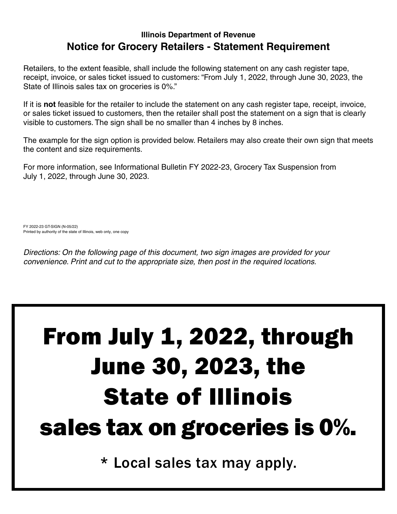#### **Illinois Department of Revenue Notice for Grocery Retailers - Statement Requirement**

Retailers, to the extent feasible, shall include the following statement on any cash register tape, receipt, invoice, or sales ticket issued to customers: "From July 1, 2022, through June 30, 2023, the State of Illinois sales tax on groceries is 0%."

If it is **not** feasible for the retailer to include the statement on any cash register tape, receipt, invoice, or sales ticket issued to customers, then the retailer shall post the statement on a sign that is clearly visible to customers. The sign shall be no smaller than 4 inches by 8 inches.

The example for the sign option is provided below. Retailers may also create their own sign that meets the content and size requirements.

For more information, see Informational Bulletin FY 2022-23, Grocery Tax Suspension from July 1, 2022, through June 30, 2023.

FY 2022-23 GT-SIGN (N-05/22) Printed by authority of the state of Illinois, web only, one copy

*Directions: On the following page of this document, two sign images are provided for your convenience. Print and cut to the appropriate size, then post in the required locations.* 

# From July 1, 2022, through June 30, 2023, the State of Illinois sales tax on groceries is 0%.

\* Local sales tax may apply.